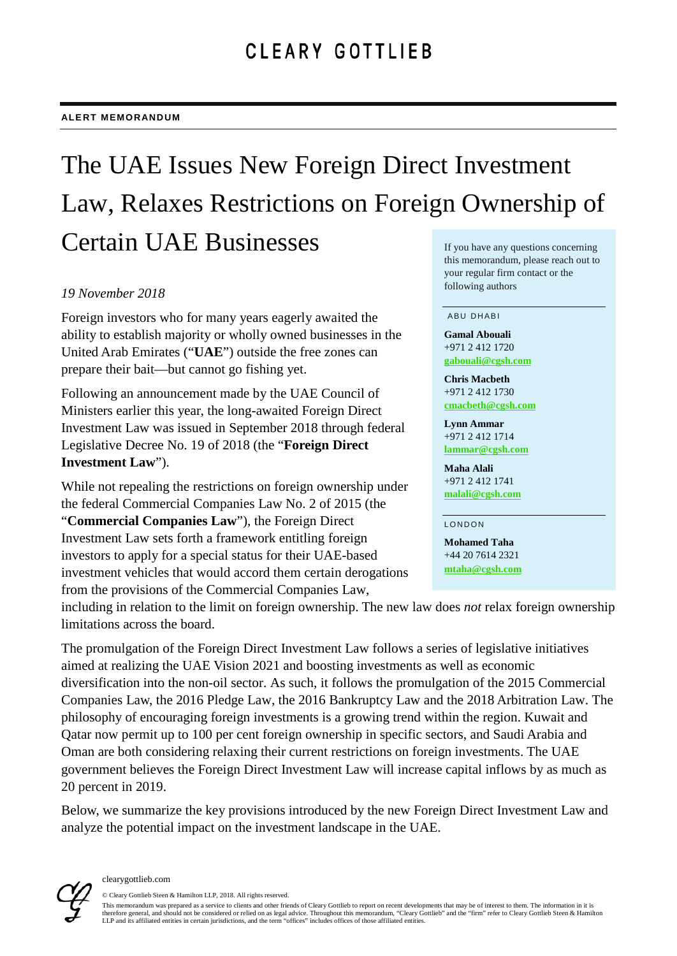# The UAE Issues New Foreign Direct Investment Law, Relaxes Restrictions on Foreign Ownership of Certain UAE Businesses If you have any questions concerning

#### *19 November 2018*

Foreign investors who for many years eagerly awaited the ability to establish majority or wholly owned businesses in the United Arab Emirates ("**UAE**") outside the free zones can prepare their bait—but cannot go fishing yet.

Following an announcement made by the UAE Council of Ministers earlier this year, the long-awaited Foreign Direct Investment Law was issued in September 2018 through federal Legislative Decree No. 19 of 2018 (the "**Foreign Direct Investment Law**").

While not repealing the restrictions on foreign ownership under the federal Commercial Companies Law No. 2 of 2015 (the "**Commercial Companies Law**"), the Foreign Direct Investment Law sets forth a framework entitling foreign investors to apply for a special status for their UAE-based investment vehicles that would accord them certain derogations from the provisions of the Commercial Companies Law,

## this memorandum, please reach out to your regular firm contact or the following authors

#### ABU DHABI

**Gamal Abouali** +971 2 412 1720 **[gabouali@cgsh.com](mailto:gabouali@cgsh.com)**

**Chris Macbeth** +971 2 412 1730 **[cmacbeth@cgsh.com](mailto:cmacbeth@cgsh.com)**

**Lynn Ammar** +971 2 412 1714 **[lammar@cgsh.com](mailto:lammar@cgsh.com)**

**Maha Alali** +971 2 412 1741 **[malali@cgsh.com](mailto:malali@cgsh.com)**

LONDON

**Mohamed Taha** +44 20 7614 2321 **[mtaha@cgsh.com](mailto:mtaha@cgsh.com)**

including in relation to the limit on foreign ownership. The new law does *not* relax foreign ownership limitations across the board.

The promulgation of the Foreign Direct Investment Law follows a series of legislative initiatives aimed at realizing the UAE Vision 2021 and boosting investments as well as economic diversification into the non-oil sector. As such, it follows the promulgation of the 2015 Commercial Companies Law, the 2016 Pledge Law, the 2016 Bankruptcy Law and the 2018 Arbitration Law. The philosophy of encouraging foreign investments is a growing trend within the region. Kuwait and Qatar now permit up to 100 per cent foreign ownership in specific sectors, and Saudi Arabia and Oman are both considering relaxing their current restrictions on foreign investments. The UAE government believes the Foreign Direct Investment Law will increase capital inflows by as much as 20 percent in 2019.

Below, we summarize the key provisions introduced by the new Foreign Direct Investment Law and analyze the potential impact on the investment landscape in the UAE.



© Cleary Gottlieb Steen & Hamilton LLP, 2018. All rights reserved.

This memorandum was prepared as a service to clients and other friends of Cleary Gottlieb to report on recent developments that may be of interest to them. The information in it is therefore general, and should not be considered or relied on as legal advice. Throughout this memorandum, "Cleary Gottlieb" and the "firm" refer to Cleary Gottlieb Steen & Hamilton<br>LLP and its affiliated entities in certai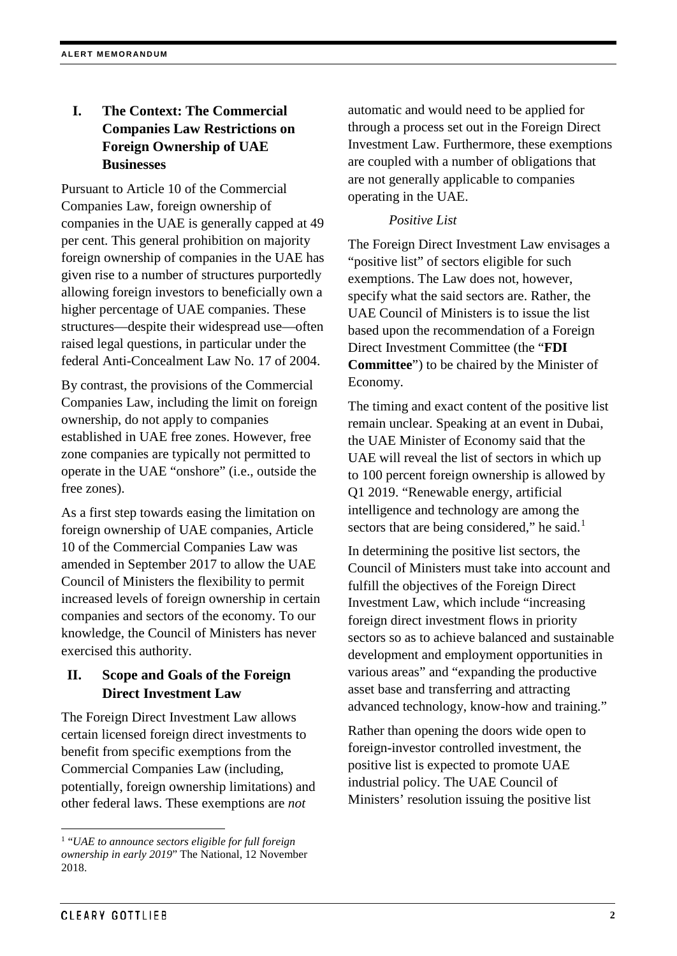## **I. The Context: The Commercial Companies Law Restrictions on Foreign Ownership of UAE Businesses**

Pursuant to Article 10 of the Commercial Companies Law, foreign ownership of companies in the UAE is generally capped at 49 per cent. This general prohibition on majority foreign ownership of companies in the UAE has given rise to a number of structures purportedly allowing foreign investors to beneficially own a higher percentage of UAE companies. These structures—despite their widespread use—often raised legal questions, in particular under the federal Anti-Concealment Law No. 17 of 2004.

By contrast, the provisions of the Commercial Companies Law, including the limit on foreign ownership, do not apply to companies established in UAE free zones. However, free zone companies are typically not permitted to operate in the UAE "onshore" (i.e., outside the free zones).

As a first step towards easing the limitation on foreign ownership of UAE companies, Article 10 of the Commercial Companies Law was amended in September 2017 to allow the UAE Council of Ministers the flexibility to permit increased levels of foreign ownership in certain companies and sectors of the economy. To our knowledge, the Council of Ministers has never exercised this authority.

## **II. Scope and Goals of the Foreign Direct Investment Law**

The Foreign Direct Investment Law allows certain licensed foreign direct investments to benefit from specific exemptions from the Commercial Companies Law (including, potentially, foreign ownership limitations) and other federal laws. These exemptions are *not*

automatic and would need to be applied for through a process set out in the Foreign Direct Investment Law. Furthermore, these exemptions are coupled with a number of obligations that are not generally applicable to companies operating in the UAE.

## *Positive List*

The Foreign Direct Investment Law envisages a "positive list" of sectors eligible for such exemptions. The Law does not, however, specify what the said sectors are. Rather, the UAE Council of Ministers is to issue the list based upon the recommendation of a Foreign Direct Investment Committee (the "**FDI Committee**") to be chaired by the Minister of Economy.

The timing and exact content of the positive list remain unclear. Speaking at an event in Dubai, the UAE Minister of Economy said that the UAE will reveal the list of sectors in which up to 100 percent foreign ownership is allowed by Q1 2019. "Renewable energy, artificial intelligence and technology are among the sectors that are being considered," he said.<sup>[1](#page-1-0)</sup>

In determining the positive list sectors, the Council of Ministers must take into account and fulfill the objectives of the Foreign Direct Investment Law, which include "increasing foreign direct investment flows in priority sectors so as to achieve balanced and sustainable development and employment opportunities in various areas" and "expanding the productive asset base and transferring and attracting advanced technology, know-how and training."

Rather than opening the doors wide open to foreign-investor controlled investment, the positive list is expected to promote UAE industrial policy. The UAE Council of Ministers' resolution issuing the positive list

<span id="page-1-0"></span> <sup>1</sup> "*UAE to announce sectors eligible for full foreign ownership in early 2019*" The National, 12 November 2018.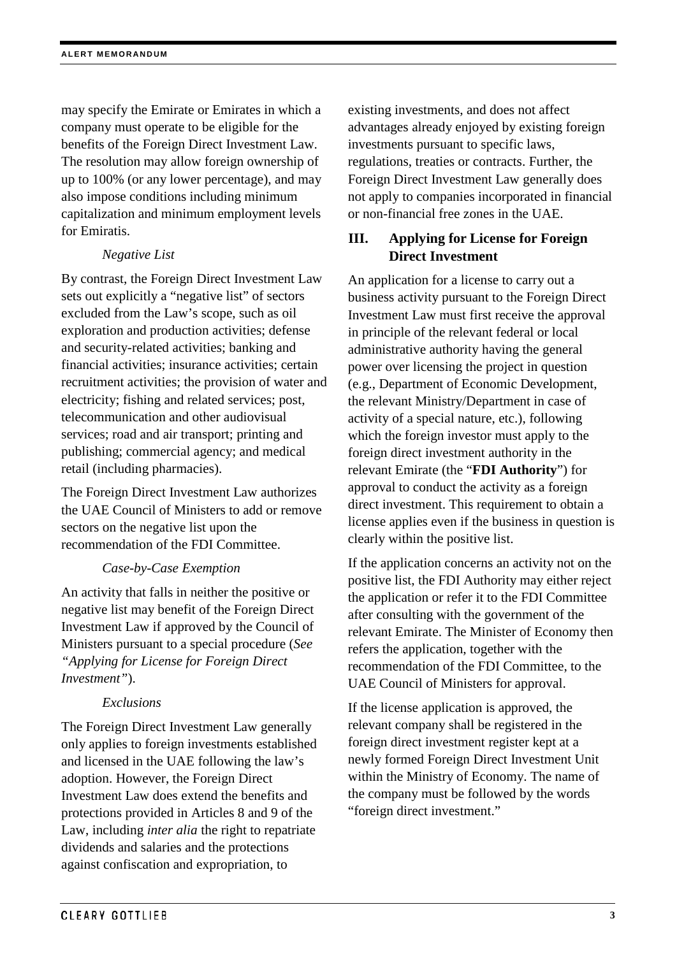may specify the Emirate or Emirates in which a company must operate to be eligible for the benefits of the Foreign Direct Investment Law. The resolution may allow foreign ownership of up to 100% (or any lower percentage), and may also impose conditions including minimum capitalization and minimum employment levels for Emiratis.

### *Negative List*

By contrast, the Foreign Direct Investment Law sets out explicitly a "negative list" of sectors excluded from the Law's scope, such as oil exploration and production activities; defense and security-related activities; banking and financial activities; insurance activities; certain recruitment activities; the provision of water and electricity; fishing and related services; post, telecommunication and other audiovisual services; road and air transport; printing and publishing; commercial agency; and medical retail (including pharmacies).

The Foreign Direct Investment Law authorizes the UAE Council of Ministers to add or remove sectors on the negative list upon the recommendation of the FDI Committee.

### *Case-by-Case Exemption*

An activity that falls in neither the positive or negative list may benefit of the Foreign Direct Investment Law if approved by the Council of Ministers pursuant to a special procedure (*See "Applying for License for Foreign Direct Investment"*).

### *Exclusions*

The Foreign Direct Investment Law generally only applies to foreign investments established and licensed in the UAE following the law's adoption. However, the Foreign Direct Investment Law does extend the benefits and protections provided in Articles 8 and 9 of the Law, including *inter alia* the right to repatriate dividends and salaries and the protections against confiscation and expropriation, to

existing investments, and does not affect advantages already enjoyed by existing foreign investments pursuant to specific laws, regulations, treaties or contracts. Further, the Foreign Direct Investment Law generally does not apply to companies incorporated in financial or non-financial free zones in the UAE.

## **III. Applying for License for Foreign Direct Investment**

An application for a license to carry out a business activity pursuant to the Foreign Direct Investment Law must first receive the approval in principle of the relevant federal or local administrative authority having the general power over licensing the project in question (e.g., Department of Economic Development, the relevant Ministry/Department in case of activity of a special nature, etc.), following which the foreign investor must apply to the foreign direct investment authority in the relevant Emirate (the "**FDI Authority**") for approval to conduct the activity as a foreign direct investment. This requirement to obtain a license applies even if the business in question is clearly within the positive list.

If the application concerns an activity not on the positive list, the FDI Authority may either reject the application or refer it to the FDI Committee after consulting with the government of the relevant Emirate. The Minister of Economy then refers the application, together with the recommendation of the FDI Committee, to the UAE Council of Ministers for approval.

If the license application is approved, the relevant company shall be registered in the foreign direct investment register kept at a newly formed Foreign Direct Investment Unit within the Ministry of Economy. The name of the company must be followed by the words "foreign direct investment."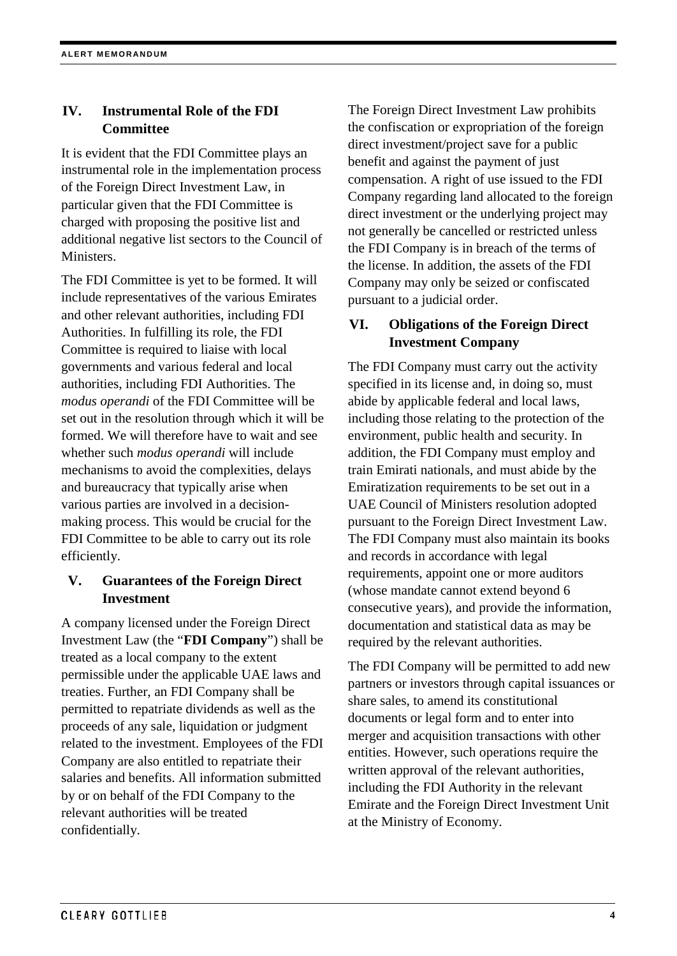## **IV. Instrumental Role of the FDI Committee**

It is evident that the FDI Committee plays an instrumental role in the implementation process of the Foreign Direct Investment Law, in particular given that the FDI Committee is charged with proposing the positive list and additional negative list sectors to the Council of Ministers.

The FDI Committee is yet to be formed. It will include representatives of the various Emirates and other relevant authorities, including FDI Authorities. In fulfilling its role, the FDI Committee is required to liaise with local governments and various federal and local authorities, including FDI Authorities. The *modus operandi* of the FDI Committee will be set out in the resolution through which it will be formed. We will therefore have to wait and see whether such *modus operandi* will include mechanisms to avoid the complexities, delays and bureaucracy that typically arise when various parties are involved in a decisionmaking process. This would be crucial for the FDI Committee to be able to carry out its role efficiently.

## **V. Guarantees of the Foreign Direct Investment**

A company licensed under the Foreign Direct Investment Law (the "**FDI Company**") shall be treated as a local company to the extent permissible under the applicable UAE laws and treaties. Further, an FDI Company shall be permitted to repatriate dividends as well as the proceeds of any sale, liquidation or judgment related to the investment. Employees of the FDI Company are also entitled to repatriate their salaries and benefits. All information submitted by or on behalf of the FDI Company to the relevant authorities will be treated confidentially.

The Foreign Direct Investment Law prohibits the confiscation or expropriation of the foreign direct investment/project save for a public benefit and against the payment of just compensation. A right of use issued to the FDI Company regarding land allocated to the foreign direct investment or the underlying project may not generally be cancelled or restricted unless the FDI Company is in breach of the terms of the license. In addition, the assets of the FDI Company may only be seized or confiscated pursuant to a judicial order.

## **VI. Obligations of the Foreign Direct Investment Company**

The FDI Company must carry out the activity specified in its license and, in doing so, must abide by applicable federal and local laws, including those relating to the protection of the environment, public health and security. In addition, the FDI Company must employ and train Emirati nationals, and must abide by the Emiratization requirements to be set out in a UAE Council of Ministers resolution adopted pursuant to the Foreign Direct Investment Law. The FDI Company must also maintain its books and records in accordance with legal requirements, appoint one or more auditors (whose mandate cannot extend beyond 6 consecutive years), and provide the information, documentation and statistical data as may be required by the relevant authorities.

The FDI Company will be permitted to add new partners or investors through capital issuances or share sales, to amend its constitutional documents or legal form and to enter into merger and acquisition transactions with other entities. However, such operations require the written approval of the relevant authorities, including the FDI Authority in the relevant Emirate and the Foreign Direct Investment Unit at the Ministry of Economy.